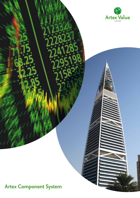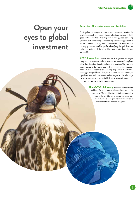

# **Open your eyes to global investment**

## **Diversified Alternative Investment Portfolios**

Staying ahead of today's markets and your investments requires the discipline to think and respond like a professional manager, in both good and bad markets. Avoiding fear, resisting greed; spreading your risk, but confronting and accepting risk when opportunities appear. The AECOS program is a way to invest like an institution: creating your own portfolio profile, identifying the global sectors to include, and then designing a risk/reward profile that suits your personality.

**AECOS combines** several money management strategies using both conventional and alternative investments, offering flexibility, diversification, liquidity and capital protection. The goal is to work with you to develop an approach to managing your assets, an approach that focuses first on reducing long term risk and maintaining your capital base. Then, once the risk is under control, to layer low-correlated investments and strategies to take advantage of above average returns available from a variety of sectors that you may not currently be considering.

> **The AECOS philosophy** avoids following crowds and looks for opportunities where others may not be searching. We combine this attitude with ongoing research to provide you with current tools normally available to larger institutional investors such as banks and pension programs.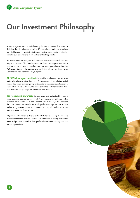# **Our Investment Philosophy**

Artex manages its own state-of-the-art global macro systems that maximize flexibility, diversification and security. We invest based on fundamental and technical factors, but we start with the premise that each investor must determine his own expectations of risk and reward in the portfolio.

No two investors are alike, and each needs an investment approach that suits his particular needs. Your portfolio structure should be unique--risk suited to your own tolerance--and a return based on your own expectations and desires. YOU should design and direct your own portfolio, while we provide the framework and the systems tailored to your profile.

**AECOS allows you to adjust** the portfolio mix between sectors based on the changing market environment. Do you expect higher inflation and oil prices? You might consider giving us the order to increase your allocation to crude oil and metals. Meanwhile, risk is controlled and monitored by Artex, your bank, and the global prime brokers for your account.

**Your acount is organized** in your name and maintained in a segregated custodial account using one of Artex' relationships with established brokers such as Merrill Lynch and Archer Daniels Midland (ADM). Daily performance reports and detailed quarterly performance updates are available on-line using password protected internet access. Liquidity and access to your portfolio capital is offered weekly.

All personal information is strictly confidential. Before opening the accounts, investors complete a detailed questionnaire from Artex outlining their investment backgrounds, as well as their preferred investment strategy and risk/ reward expectations.

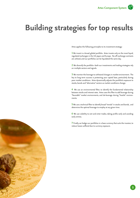# **Building strategies for top results**

Artex applies the following principles to its investment strategy:

**1** We invest in a broad, global portfolio. Artex invests only on the most liquid, regulated exchanges in the US, Japan and Europe. No off-exchange contracts are utilized, and our portfolios can be liquidated the same day.

**2** We diversify the portfolio--both our investments and trading strategies rely on multiple sectors and signals.

**3** We monitor the leverage to withstand changes in market environment. The key to long term success is protecting your capital base, particularly during poor market conditions. Artex dynamically adjusts the portfolio's exposure to stocks, bonds and "alternative" sectors as market conditions change.

**4** We use an environmental filter, to identify the fundamental relationship between stocks and interest rates. Artex uses this filter to add leverage during "favorable" market environments, and de-leverage during "hostile" environments.

**5** We use a technical filter to identify broad "trends" in stocks and bonds, and determine the optimal leverage to employ at any given time.

**6** We use volatility to exit and enter trades, taking profits early and avoiding early entries.

**7** Finally, we hedge our portfolios in a base currency that suits the investor, to reduce losses suffered due to currency exposure.

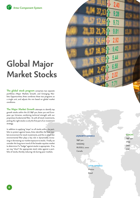

# **Global Major Market Stocks**

**The global stock program** comprises two separate portfolios—Major Markets Growth, and Emerging Markets Opportunities; Artex combines these two programs as a single unit, and adjusts the mix based on global market conditions.

**The Major Market Growth** attempts to identify top growth stocks within the US S&P 500, Asian 500 and European 350 Universe, combining technical strength with our proprietary fundamental filter. As with all stock investments, picking the right stocks is only the first part of an investment strategy.

In addition to applying "stops" on all stocks within the portfolio to protect against losses, Artex identifies the best market environment for stock investments, and this is where our environmental filter plays a key role in dynamically increasing or decreasing our market exposure to stocks. Finally, we consider the long-term trend of the broader equities market to determine if a "hedge" against stocks is appropriate. If so, we may "short" the appropriate stock index against a portfolio of stocks, thereby reducing risk during poor markets.

## **US/North America**

| $S&P$ 500    |  |
|--------------|--|
| NASDAO       |  |
| RUSSELL 2000 |  |
| Canada       |  |

**LATIN AMERICA**  Mexico Brazil

### **Europe**

 $2.40$ 

 $928$ 

S&P 350 FTSE

DAX

CAC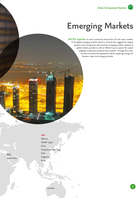**7**

# **Emerging Markets**

**AECOS expands** its stock investments beyond the US and major markets, to the global emerging markets based on research that suggests the largest growth in the coming years will come from emerging markets. Analysis of global indexes provides us with an efficient way to capture the capital weighted comparisons between these markets. Through this analysis, Artex can assess the appropriate relative weighting among, and between, major and emerging markets.

## **Asia**

S&P 500 NIKKEI--Japan China Hong Kong-Hang Seng India

Singapore

Korea

**GCC** Saudi Arabia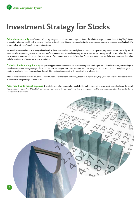

# **Investment Strategy for Stocks**

**Artex allocates equity** "slots" to each of the major regions highlighted above in proportion to the relative strength between them. Using "Buy" signals, Artex enters into orders to fill each of the available slots for investment. Stops are placed, allowing for a replacement country to be added when (and only if ) a corresponding "stronger" country gives us a buy signal.

Meanwhile, the US markets lead as a major benchmark to determine whether the overall global stock situation is positive, negative or neutral. Generally, we will invest most heavily—even greater than 100% of portfolio value--when the overall US equity picture is positive. Conversely, we will cut back when the markets are neutral, and may even exit completely when negative. This program augments the "top-down" logic we employ in our portfolios, and comes at a time when global emerging markets are expanding and maturing.

Globalization is adding liquidity and greater opportunities for investors to increase their global stock exposure, and the key is our systematic logic to identify the important emerging regional market. Because each region (and most countries within each region), maintains a unique currency base, generally greater diversification benefits are available through this investment approach than by investing in a single country.

All stock investment decisions are driven by a layer of fundamental and technical filtering, based on our proprietary logic, that increases and decreases exposure in stocks, from a high of 125% to a low of 0%.

Artex modifies its market exposure dynamically, and refreshes portfolios regularly. For both of the stock programs, Artex can also hedge the overall stock position by going "short" the S&P 500 Futures Index against the cash positions. This is an important tool to help investors protect their capital during adverse market conditions.

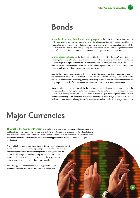# **Bonds**

**In contrast to many traditional bond programs,** the Artex Bond Program can profit in both rising and interest rate environments, a characteristic unusual to most investors. Most bond investments show profits during a declining interest rate environment, but can lose substantially with the onset of inflation. Because Artex can go "Long" or "Short" bonds, we can profit during both inflationary and deflationary markets, an important consideration for any prospective bond investor.

**Our program is based** on the thesis that the US debt market drives the world's interest rate movements, and decisions by leading central banks follow closely the directions of the US Federal Reserve. All other major global players follow the US lead in this particular sector, and in this way all major countries are notably interdependent. Artex focuses on 3 global regions—the US, Japan and Europe—and invest in both long and short term interest rate instruments.

A driving force behind this program is the fundamental interest rate situation, as observed in many of the standard indicators released by the US Federal Reserve and the US Treasury. These fundamental factors are important in determining, among other things, whether price or commodity inflation is a lingering threat. We also focus on Federal Reserve's decisions to raise or lower interest rates.

Using both fundamentals and technicals, the program adjusts the leverage of the portfolio, and the mix between bond sectors dynamically. Artex analyzes historical patterns to identify those investment periods when bonds perform well, and we increase our market exposure during these times. We also monitor the volatility of the underlying investments and may take profits early if market moves are unusual in short time frames. Volatility is a way for Artex to enter and exit trades at advantageous moments.

# **Major Currencies**

**The goal of the Currency Program** is to capture major moves between the world's most important and liquid currencies. Currencies represents one of the largest global markets, dwarfing the value of stocks, particularly when considered on the basis of daily volume traded. As such, currencies are one of the most important alternative investment markets, an important opportunity for profits, and a tool for hedging portfolio risk.

Artex profits from long term moves in currencies by making directional investments in those currencies showing strength or weakness. We employ a dynamic approach to its portfolio management, switching between currencies based on optimal market timing, volatility and, on occasion, market fundamentals. We limit ourselves to only the largest currencies markets, and generally avoid shorter term signals.

Artex strongly endorses the theory that every portfolio should include a basket of currencies for purposes of diversification.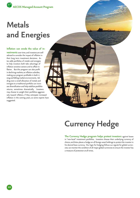# **Metals and Energies**

## **Inflation can erode the value of in-**

**vestments** over time, and investors are well advised to consider the impact of inflation in their long term investment decisions. Artex adds portfolios of metals and energies to help investors both take advantage of inflation sensitive sectors and to offset inflation. But this program can also profit in declining markets, as inflation subsides, making our program profitable in both rising and falling market environments. Adding even a small allocation of metals and energies to a traditional portfolio can increase diversification and help stabilize portfolio returns, sometimes dramatically. Investors may choose to weight their portfolios aggressively toward inflation, if they anticipate increased inflation in the coming years, as some experts have suggested.

# **Currency Hedge**

**The Currency Hedge program helps protect investors** against losses in "non-local" investment portfolios. Investors choose their underlying currency of choice, and Artex places a hedge on all foreign asset holdings to protect the investor in his desired base currency. Our logic for hedging follows our signals for global currencies; we monitor the condition of all major global currencies to ensure the investor has a measure of protection at all times.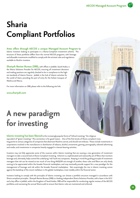# **Sharia Compliant Portfolios**

### **Artex offers through AECOS a unique Managed Account Program** for

Islamic Investors looking to participate in a Sharia-Compliant investment scheme. The structure of these portfolios differs from the normal AECOS programs, with leverage and allowable investments modified to comply with the strictest rules and regulations available to Muslim investors.

**Shariyah Review Bureau (SRB),** with offices in Jeddah, Saudi Arabia, is the Sharia Solutions Provider for AECOS, ensuring all investment decisions and trading positions are regularly checked to be in compliance to the highest standards of Islamic finance. Jeddah is the hub of Islamic activities for the world of Islam, providing the port of entry for the holiest mosques of Medina and Mecca.

For more information on SRB, please refer to the following site link:

**www.shariyah.com**

# **A new paradigm**  for investing

**Islamic investing has been likened** to the increasingly popular forms of "ethical investing," the religious equivalent of "green investing." This connection is for good reason. One of the first tenets of Sharia compliant investing points to various categories of companies that observant Muslims cannot, and should not embrace. These include investments in corporations involved in the manufacture or distribution of tobacco, alcohol, armaments, gaming, pornography, selected advertising and media, and investments in companies heavily engaged in interest-bearing activities.

Investors may not fully appreciate some of the nuances within Islamic investing that are causing a new generation of investment managers to take a second look at Sharia Compliant Investing. Inherent is a sophisticated and noteworthy set of filters that monitors leverage and, ultimately, helps control the underlying "risk" built into companies. Keeping in mind the guiding principle of investment managers that risk can be viewed as too much of one thing AND/OR not enough of another, these rules and filters are only slowly coming to be appreciated within the broader financial marketplace, and may eventually provide support for a new paradigm for the management of leverage and risk within the broader financial marketplace. Not surprisingly, the rise in Islamic investing comes against the backdrop of the recent meltdown in the global marketplace, most notably within the financial sector.

Investors looking to comply with the principles of Islamic investing, can choose a portfolio structure managed in accordance with Sharia compliant principles. Shariyah Review Bureau (SRB) is a leading independent Sharia Solutions Provider, with a base in the GCC and a key office in Jeddah, within the Kingdom of Saudi Arabia. SRB will be responsible for conducting regular reviews of the AECOS portfolios, and overseeing the annual Sharia audit to ensure that Islamic rules are maintained and enforced.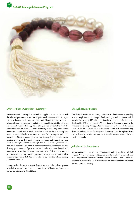



### **What is "Sharia Compliant Investing?"**

Sharia compliant investing is a method that applies finance consistent with the rules and precepts of Islam. Certain prescribed investments and strategies are allowed under Sharia rules. Artex may trade Sharia-compliant stocks, certain metals, currencies, energies and other commodities-related investments, but may not invest in bonds, gold or silver, or stocks that fail to meet the strict conditions for Islamic investors. Generally, strictly "long-only" investments are allowed, and particular attention is paid to the relationship between the buyer and seller, to ensure that proper "risk" is assigned within any transaction. Stocks of corporations that are deemed Sharia compliant must meet regular standards, including proper debt levels and proper investment focus. By example, companies with high debt-to-equity ratios, or which have interests in financial institutions, casinos, tobacco companies or food interests that engage in the sale of pork or "unclean" products, are not allowed. It is noteworthy that during the market downturn of 2008, Islamic investments were generally able to escape the huge drop in value, due to more prudent investment principles that steered investors away from the volatile banking and financial sectors.

During the last decade, the Islamic financial services industry has expanded to include over 300 institutions in 75 countries, with Sharia-compliant assets worldwide estimated at \$800 billion.

#### **Shariyah Review Bureau**

The Shariyah Review Bureau (SRB) specializes in Islamic Finance, providing Islamic compliance and auditing for funds dealing in both traditional and alternative investments. SRB is based in Bahrain, with its main office in Jeddah, Saudi Arabia. SRB will organize the "Sharia Board of Scholars" to approve the structure and trading strategy Artex will utilize, and will conduct the annual "Sharia Audit" for the Fund. SRB will be a close partner with Artex in ensuring that rules and regulations for our portfolios comply `with the highest Sharia standards, and will advise Artex as it considers which investments and strategies it may employ.

#### **Jeddah and its importance**

Artex maintains an office in the important port city of Jeddah, the historic hub of Saudi Arabian commerce and the main arrival point for Pilgrims in transit to the holy sites of Mecca and Medina. Jeddah is an important location for Artex due to its access to Sharia Scholars and the most current information on Sharia compliant investing.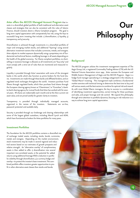**Artex offers the AECOS Managed Account Program** that invests in a diversified, global portfolio of both traditional and alternative asset classes and strategies that can also be consistent with the rules of Islamic Finance, should investors desire a Sharia Compliant program. The goal is long term capital appreciation with comparatively low risk, using the keys to successful long term investing that include: 1) diversification, 2) liquidity, 3) transparency, and 4) security.

Diversification is achieved through investments in a diversified portfolio of major and emerging market stocks, and additional "layering" using several alternative investment sectors that includes currencies, metals, and energies. Artex adjusts its market exposure dynamically using a proprietary mix of fundamental and technical factors, modifying leverage in all assets depending on the health of the global economy. For Sharia compliant portfolios, no shortselling or excessive leverage is allowed, so all investments are "buy-only," and must comply with a strict set of rules that are monitored and measured regularly.

Liquidity is provided through Artex' association with some of the strongest banks in the world, which also function as prime brokers for the fund shares. Investments are made through these banks and affiliated brokers, and on regulated stock exchanges throughout the world. Investors purchase Fund Shares through regulated banks, which then purchase fund shares through the European clearing agency known as "Clearstream," or "Euroclear," a bankto-bank clearing agency for mutual funds that Artex has worked with for several years. All shares are redeemable each month-end at the then-current net asset value, and are priced weekly for greater clarity to investors.

Transparency is provided through individually managed accounts, organized in the names of the investors. Statements are on-line, password protected and available daily.

Security is provided through our brokerage and clearing relationships with some of the largest global custodians, including Merrill Lynch and ADM, which have functioned as brokers for Artex portfolios for many years.

### **Investment Portfolios**

The foundation for the AECOS portfolios contains a diversified mix of exchange traded assets, including stocks, bonds, currencies, metals and energies. Depending on the market environment, stock investments may be made in several regional and industrial sectors based on our estimates of growth prospects and relative strength. An "alternative overlay" of complimentary assets is then added to offer 1) diversification into several important non-correlated assets, 2) the potential for added returns using additional leverage AND a reduction in portfolio volatility through diversification, 3) a currency hedge and overlay—to protect the investor's base investment. The combined portfolio offers investors greater opportunities to profit in other alternative asset classes than stocks and bonds.

# **Our Philosophy**

### **Background**

The AECOS program utilzies the investment management expertise of The Aegis Group, Ltd., a registered Commodity Trading Advisor (CTA) with the US National Futures Association since 1993. Artex oversees the European and Middle Eastern Management of Aegis and the AECOS Program. Aegis is a hedge fund manager specializing in a strategy categorized in the industry as "Global Macro" investing. This management style combines a fundamental market overview with technical timing to determine the best time to buy and sell various assets, and the best sectors to combine for optimal risk and reward. As with most Global Macro managers, the key to success is a combination of identifying investment opportunities, correct timing for these purchases and sales, and proper leverage and risk control. We expand this philosophy through strict attention to portfolio dynamics, focusing on risk reduction as a way to achieve long term capital appreciation.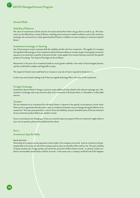## **General Risks**

#### **Volatility of Returns**

The value of investments and the amount of income derived from them may go down as well as up. All investments can be affected by a variety of factors, including macro-economic market conditions such as the interest or exchange rate environment, or other general political factors in addition to more company or investment specific factors.

#### **Investment Leverage or Gearing**

Use of borrowing to invest, increases both the volatility and the risk of an investment. This applies if a company has significant borrowings, or if an investment vehicle otherwise allows an investor to gain much greater economic exposure to an asset than is paid for at the point of sale. It also applies if an investor borrows money for the specific purpose of investing. The impact of leverage can be as follows:

Movements in the price of an investment leads to much greater volatility in the value of the leveraged position, and this could lead to sudden and large falls in value;

The impact of interest costs could lead to an increase in any rate of return required to break even; or

A client may receive back nothing at all if there are significantly large falls in the value of the investment.

#### **Foreign Exchange**

Investments denominated in foreign currencies create additional risks related to the relevant exchange rate. Movements in exchange rates may cause the value of an investment to fluctuate either in a favorable or unfavorable manner.

#### **Taxation**

The tax treatment of an investment for individual clients is relevant to the specific circumstances of each client. There can be no guarantee that the nature, basis or incidence of taxation may not change during the lifetime of an investment. This may cause potential, current or future tax liabilities, and you should be aware of the tax treatment of any investment product before you decide to invest.

If your circumstances are changing, or if you are uncertain about any aspect of how an investment might relate to your own tax position, please seek professional tax advice.

#### **Part 2**

#### **Investment Specific Risks**

#### Equity Securities

Ownership of an equity security represents a direct stake in the company concerned. Such an investment will participate fully in the economic risk of the company and its value can therefore fall as well as rise. The price volatility of equity markets can change quickly, and cannot be assumed to follow historic trends. In adverse market conditions irrecoverable capital losses could be incurred. In the worst case, a company could fail and if this happens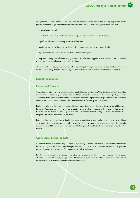its equity can become worthless. These securities are commonly used by investors seeking longer term capital growth. Examples of typical company characteristics which could increase equity investment risks are:

- · a low market capitalization;
- · product set that is undiversified or reliance on single markets as a major source of income;
- · a significant reliance on borrowing as a source of finance;
- · a significant level of fixed costs to pay, irrespective of output, production or turnover levels;
- · major income sources which are seasonal or 'cyclical' in nature; and

· companies trading primarily in emerging markets particularly during poor market conditions, or in countries where legal property rights may be difficult to enforce.

The risks involved in equity investment can often be managed through investment via diversified investment vehicles, or by investing directly in a wide range of different companies, industries, countries and currencies.

### **Derivatives Contracts**

### **Futures and Forwards**

Transactions in futures or forwards give rise to a legal obligation to either buy ('long') or to sell ('short') a specified amount of an asset at expiry at a price determined today. These transactions usually carry a high degree of risk, which arises because an investor is exposed to the movement of a proportionately large amount of the underlying in return for a small upfront payment. This can either work in favor or against an investor.

For bought futures or forwards an investor will profit from rising market prices, and vice versa for sold futures or forwards. Please also note that the current price at which an asset can be traded in the futures market may differ from the price at which it can be bought or sold immediately at the time of dealing. This can work either in favor or against the returns experienced by an investor.

Futures or forwards are contingent liability investments, meaning that you may be called upon to pay additional sums during the life of the contract and on maturity. It is very important that you understand the potential amounts you could be liable for and are comfortable that you will be able to afford to pay such amounts if they fall due.

### **Commodities Linked Products**

Commodity based investments may be impacted by a variety of political, economic, environmental and seasonal factors relating to issues that impact either upon demand or on the available supply of the commodity in question. As with all investments, the value of commodities can fall as well as rise.

Investment in commodities is often achieved either via a structured product over a commodities index or basket of different commodities, or by using a commodity derivative. Such products will be accompanied by specific risk disclosures to which you should refer for further information.